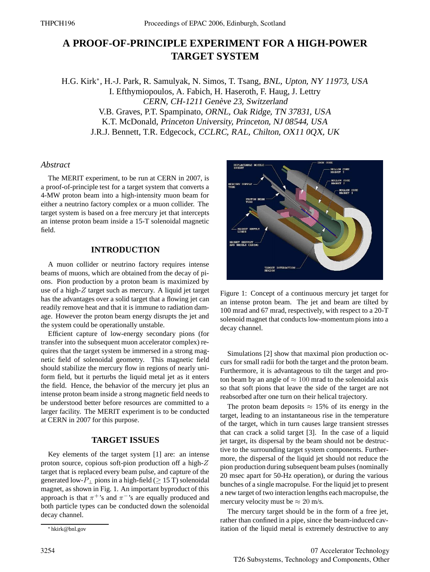# **A PROOF-OF-PRINCIPLE EXPERIMENT FOR A HIGH-POWER TARGET SYSTEM**

H.G. Kirk\*, H.-J. Park, R. Samulyak, N. Simos, T. Tsang, BNL, Upton, NY 11973, USA I. Efthymiopoulos, A. Fabich, H. Haseroth, F. Haug, J. Lettry CERN, CH-1211 Genève 23, Switzerland V.B. Graves, P.T. Spampinato, ORNL, Oak Ridge, TN 37831, USA K.T. McDonald, Princeton University, Princeton, NJ 08544, USA J.R.J. Bennett, T.R. Edgecock, CCLRC, RAL, Chilton, OX11 0QX, UK

## *Abstract*

The MERIT experiment, to be run at CERN in 2007, is a proof-of-principle test for a target system that converts a 4-MW proton beam into a high-intensity muon beam for either a neutrino factory complex or a muon collider. The target system is based on a free mercury jet that intercepts an intense proton beam inside a 15-T solenoidal magnetic field.

### **INTRODUCTION**

A muon collider or neutrino factory requires intense beams of muons, which are obtained from the decay of pions. Pion production by a proton beam is maximized by use of a high-Z target such as mercury. A liquid jet target has the advantages over a solid target that a flowing jet can readily remove heat and that it is immune to radiation damage. However the proton beam energy disrupts the jet and the system could be operationally unstable.

Efficient capture of low-energy secondary pions (for transfer into the subsequent muon accelerator complex) requires that the target system be immersed in a strong magnetic field of solenoidal geometry. This magnetic field should stabilize the mercury flow in regions of nearly uniform field, but it perturbs the liquid metal jet as it enters the field. Hence, the behavior of the mercury jet plus an intense proton beam inside a strong magnetic field needs to be understood better before resources are committed to a larger facility. The MERIT experiment is to be conducted at CERN in 2007 for this purpose.

# **TARGET ISSUES**

Key elements of the target system [1] are: an intense proton source, copious soft-pion production off a high-Z target that is replaced every beam pulse, and capture of the generated low- $P_{\perp}$  pions in a high-field ( $\geq$  15 T) solenoidal magnet, as shown in Fig. 1. An important byproduct of this approach is that  $\pi^+$ 's and  $\pi^-$ 's are equally produced and both particle types can be conducted down the solenoidal decay channel.



Figure 1: Concept of a continuous mercury jet target for an intense proton beam. The jet and beam are tilted by 100 mrad and 67 mrad, respectively, with respect to a 20-T solenoid magnet that conducts low-momentum pions into a decay channel.

Simulations [2] show that maximal pion production occurs for small radii for both the target and the proton beam. Furthermore, it is advantageous to tilt the target and proton beam by an angle of  $\approx 100$  mrad to the solenoidal axis so that soft pions that leave the side of the target are not reabsorbed after one turn on their helical trajectory.

The proton beam deposits  $\approx 15\%$  of its energy in the target, leading to an instantaneous rise in the temperature of the target, which in turn causes large transient stresses that can crack a solid target [3]. In the case of a liquid jet target, its dispersal by the beam should not be destructive to the surrounding target system components. Furthermore, the dispersal of the liquid jet should not reduce the pion production during subsequent beam pulses (nominally 20 msec apart for 50-Hz operation), or during the various bunches of a single macropulse. For the liquid jet to present a new target of two interaction lengths each macropulse, the mercury velocity must be  $\approx 20$  m/s.

The mercury target should be in the form of a free jet, rather than confined in a pipe, since the beam-induced cavitation of the liquid metal is extremely destructive to any

<sup>∗</sup> hkirk@bnl.gov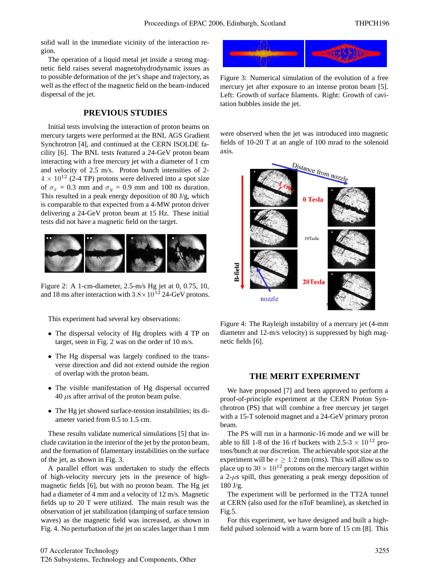solid wall in the immediate vicinity of the interaction region.

The operation of a liquid metal jet inside a strong magnetic field raises several magnetohydrodynamic issues as to possible deformation of the jet's shape and trajectory, as well as the effect of the magnetic field on the beam-induced dispersal of the jet.

# **PREVIOUS STUDIES**

Initial tests involving the interaction of proton beams on mercury targets were performed at the BNL AGS Gradient Synchrotron [4], and continued at the CERN ISOLDE facility [6]. The BNL tests featured a 24-GeV proton beam interacting with a free mercury jet with a diameter of 1 cm and velocity of 2.5 m/s. Proton bunch intensities of 2-  $4 \times 10^{12}$  (2-4 TP) protons were delivered into a spot size of  $\sigma_x = 0.3$  mm and  $\sigma_y = 0.9$  mm and 100 ns duration. This resulted in a peak energy deposition of 80 J/g, which is comparable to that expected from a 4-MW proton driver delivering a 24-GeV proton beam at 15 Hz. These initial tests did not have a magnetic field on the target.



Figure 2: A 1-cm-diameter, 2.5-m/s Hg jet at 0, 0.75, 10, and 18 ms after interaction with  $3.8 \times 10^{12}$  24-GeV protons.

This experiment had several key observations:

- The dispersal velocity of Hg droplets with 4 TP on target, seen in Fig. 2 was on the order of 10 m/s.
- The Hg dispersal was largely confined to the transverse direction and did not extend outside the region of overlap with the proton beam.
- The visible manifestation of Hg dispersal occurred  $40 \mu s$  after arrival of the proton beam pulse.
- The Hg jet showed surface-tension instabilities; its diameter varied from 0.5 to 1.5 cm.

These results validate numerical simulations [5] that include cavitation in the interior of the jet by the proton beam, and the formation of filamentary instabilities on the surface of the jet, as shown in Fig. 3.

A parallel effort was undertaken to study the effects of high-velocity mercury jets in the presence of highmagnetic fields [6], but with no proton beam. The Hg jet had a diameter of 4 mm and a velocity of 12 m/s. Magnetic fields up to 20 T were utilized. The main result was the observation of jet stabilization (damping of surface tension waves) as the magnetic field was increased, as shown in Fig. 4. No perturbation of the jet on scales larger than 1 mm



Figure 3: Numerical simulation of the evolution of a free mercury jet after exposure to an intense proton beam [5]. Left: Growth of surface filaments. Right: Growth of cavitation bubbles inside the jet.

were observed when the jet was introduced into magnetic fields of 10-20 T at an angle of 100 mrad to the solenoid axis.



Figure 4: The Rayleigh instability of a mercury jet (4-mm diameter and 12-m/s velocity) is suppressed by high magnetic fields [6].

#### **THE MERIT EXPERIMENT**

We have proposed [7] and been approved to perform a proof-of-principle experiment at the CERN Proton Synchrotron (PS) that will combine a free mercury jet target with a 15-T solenoid magnet and a 24-GeV primary proton beam.

The PS will run in a harmonic-16 mode and we will be able to fill 1-8 of the 16 rf buckets with 2.5-3  $\times$  10<sup>12</sup> protons/bunch at our discretion. The achievable spot size at the experiment will be  $r \geq 1.2$  mm (rms). This will allow us to place up to  $30 \times 10^{12}$  protons on the mercury target within a  $2-\mu s$  spill, thus generating a peak energy deposition of 180 J/g.

The experiment will be performed in the TT2A tunnel at CERN (also used for the nToF beamline), as sketched in Fig.5.

For this experiment, we have designed and built a highfield pulsed solenoid with a warm bore of 15 cm [8]. This